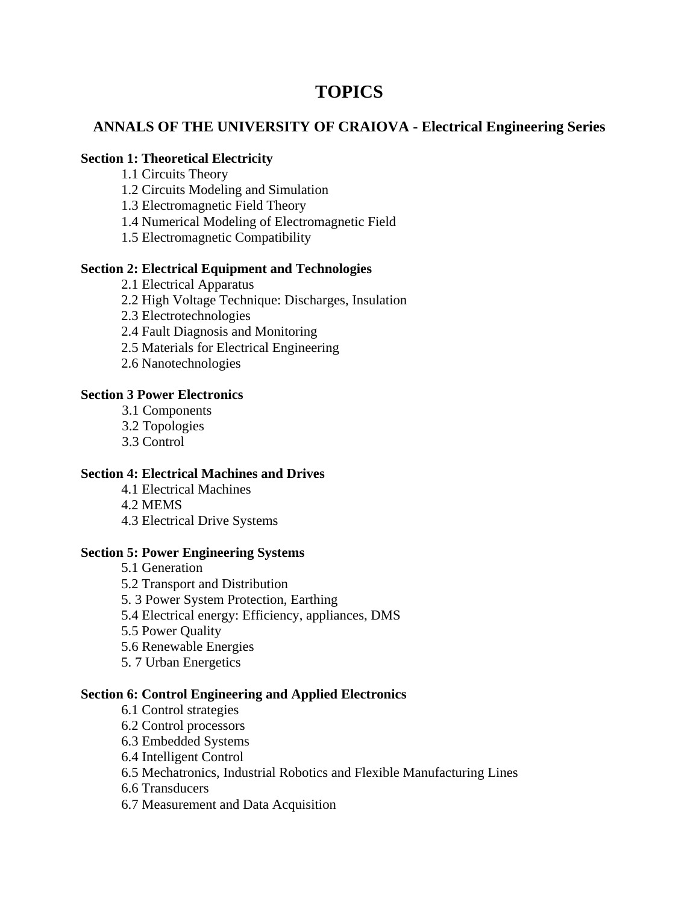# **TOPICS**

## **ANNALS OF THE UNIVERSITY OF CRAIOVA - Electrical Engineering Series**

#### **Section 1: Theoretical Electricity**

- 1.1 Circuits Theory
- 1.2 Circuits Modeling and Simulation
- 1.3 Electromagnetic Field Theory
- 1.4 Numerical Modeling of Electromagnetic Field
- 1.5 Electromagnetic Compatibility

## **Section 2: Electrical Equipment and Technologies**

- 2.1 Electrical Apparatus
- 2.2 High Voltage Technique: Discharges, Insulation
- 2.3 Electrotechnologies
- 2.4 Fault Diagnosis and Monitoring
- 2.5 Materials for Electrical Engineering
- 2.6 Nanotechnologies

## **Section 3 Power Electronics**

- 3.1 Components
- 3.2 Topologies
- 3.3 Control

## **Section 4: Electrical Machines and Drives**

- 4.1 Electrical Machines
- 4.2 MEMS
- 4.3 Electrical Drive Systems

## **Section 5: Power Engineering Systems**

- 5.1 Generation 5.2 Transport and Distribution 5. 3 Power System Protection, Earthing 5.4 Electrical energy: Efficiency, appliances, DMS
- 5.5 Power Quality
- 5.6 Renewable Energies
- 5. 7 Urban Energetics

## **Section 6: Control Engineering and Applied Electronics**

- 6.1 Control strategies
- 6.2 Control processors
- 6.3 Embedded Systems
- 6.4 Intelligent Control
- 6.5 Mechatronics, Industrial Robotics and Flexible Manufacturing Lines
- 6.6 Transducers
- 6.7 Measurement and Data Acquisition